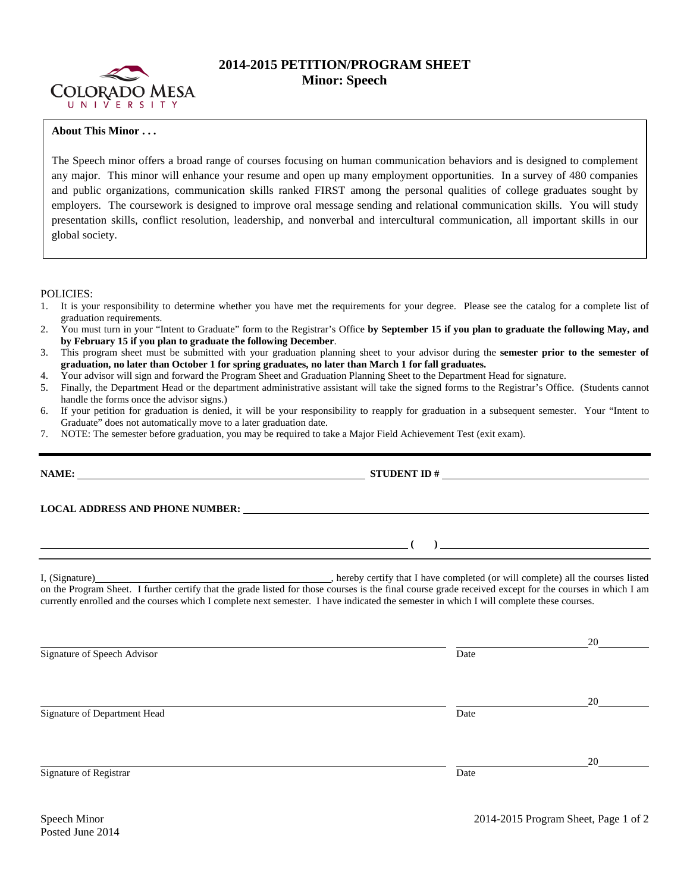

## **2014-2015 PETITION/PROGRAM SHEET Minor: Speech**

## **About This Minor . . .**

The Speech minor offers a broad range of courses focusing on human communication behaviors and is designed to complement any major. This minor will enhance your resume and open up many employment opportunities. In a survey of 480 companies and public organizations, communication skills ranked FIRST among the personal qualities of college graduates sought by employers. The coursework is designed to improve oral message sending and relational communication skills. You will study presentation skills, conflict resolution, leadership, and nonverbal and intercultural communication, all important skills in our global society.

POLICIES:

- 1. It is your responsibility to determine whether you have met the requirements for your degree. Please see the catalog for a complete list of graduation requirements.
- 2. You must turn in your "Intent to Graduate" form to the Registrar's Office **by September 15 if you plan to graduate the following May, and by February 15 if you plan to graduate the following December**.
- 3. This program sheet must be submitted with your graduation planning sheet to your advisor during the **semester prior to the semester of graduation, no later than October 1 for spring graduates, no later than March 1 for fall graduates.**
- 4. Your advisor will sign and forward the Program Sheet and Graduation Planning Sheet to the Department Head for signature.
- 5. Finally, the Department Head or the department administrative assistant will take the signed forms to the Registrar's Office. (Students cannot handle the forms once the advisor signs.)
- 6. If your petition for graduation is denied, it will be your responsibility to reapply for graduation in a subsequent semester. Your "Intent to Graduate" does not automatically move to a later graduation date.
- 7. NOTE: The semester before graduation, you may be required to take a Major Field Achievement Test (exit exam).

|                                                                                                                                                                                                                                | STUDENT ID $\#$ |    |  |  |  |  |  |  |
|--------------------------------------------------------------------------------------------------------------------------------------------------------------------------------------------------------------------------------|-----------------|----|--|--|--|--|--|--|
| LOCAL ADDRESS AND PHONE NUMBER: Under the contract of the contract of the contract of the contract of the contract of the contract of the contract of the contract of the contract of the contract of the contract of the cont |                 |    |  |  |  |  |  |  |
| $\overline{a}$ (b) and the contract of $\overline{a}$ (b) and the contract of $\overline{a}$ (b) and the contract of $\overline{a}$                                                                                            |                 |    |  |  |  |  |  |  |
| currently enrolled and the courses which I complete next semester. I have indicated the semester in which I will complete these courses.                                                                                       |                 |    |  |  |  |  |  |  |
| Signature of Speech Advisor                                                                                                                                                                                                    | Date            | 20 |  |  |  |  |  |  |
| Signature of Department Head                                                                                                                                                                                                   | Date            | 20 |  |  |  |  |  |  |
| Signature of Registrar                                                                                                                                                                                                         | Date            | 20 |  |  |  |  |  |  |